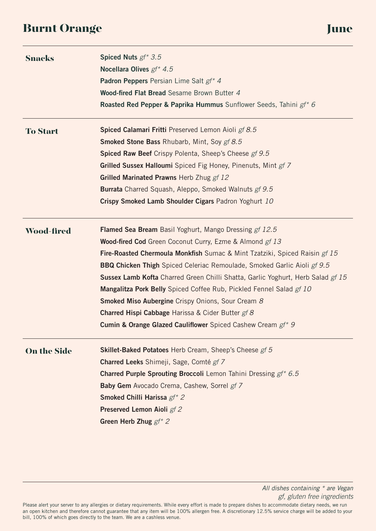# Burnt Orange June June 1999, 1999, 1999, 1999, 1999, 1999, 1999, 1999, 1999, 1999, 1999, 1999, 1999, 1999, 199

| <b>Snacks</b>      | Spiced Nuts $gf^*$ 3.5<br>Nocellara Olives gf* 4.5                                       |
|--------------------|------------------------------------------------------------------------------------------|
|                    | Padron Peppers Persian Lime Salt gf* 4                                                   |
|                    | Wood-fired Flat Bread Sesame Brown Butter 4                                              |
|                    | Roasted Red Pepper & Paprika Hummus Sunflower Seeds, Tahini gf* 6                        |
|                    |                                                                                          |
| <b>To Start</b>    | Spiced Calamari Fritti Preserved Lemon Aioli gf 8.5                                      |
|                    | <b>Smoked Stone Bass Rhubarb, Mint, Soy gf 8.5</b>                                       |
|                    | Spiced Raw Beef Crispy Polenta, Sheep's Cheese gf 9.5                                    |
|                    | <b>Grilled Sussex Halloumi</b> Spiced Fig Honey, Pinenuts, Mint gf 7                     |
|                    | Grilled Marinated Prawns Herb Zhug gf 12                                                 |
|                    | <b>Burrata</b> Charred Squash, Aleppo, Smoked Walnuts gf 9.5                             |
|                    | Crispy Smoked Lamb Shoulder Cigars Padron Yoghurt 10                                     |
| <b>Wood-fired</b>  | Flamed Sea Bream Basil Yoghurt, Mango Dressing gf 12.5                                   |
|                    | <b>Wood-fired Cod</b> Green Coconut Curry, Ezme & Almond gf 13                           |
|                    | <b>Fire-Roasted Chermoula Monkfish</b> Sumac & Mint Tzatziki, Spiced Raisin <i>gf 15</i> |
|                    | <b>BBQ Chicken Thigh</b> Spiced Celeriac Remoulade, Smoked Garlic Aioli gf 9.5           |
|                    | Sussex Lamb Kofta Charred Green Chilli Shatta, Garlic Yoghurt, Herb Salad gf 15          |
|                    | <b>Mangalitza Pork Belly</b> Spiced Coffee Rub, Pickled Fennel Salad gf 10               |
|                    | <b>Smoked Miso Aubergine</b> Crispy Onions, Sour Cream 8                                 |
|                    | <b>Charred Hispi Cabbage</b> Harissa & Cider Butter gf 8                                 |
|                    | <b>Cumin &amp; Orange Glazed Cauliflower</b> Spiced Cashew Cream gf* 9                   |
| <b>On the Side</b> | Skillet-Baked Potatoes Herb Cream, Sheep's Cheese gf 5                                   |
|                    | Charred Leeks Shimeji, Sage, Comté gf 7                                                  |
|                    | <b>Charred Purple Sprouting Broccoli</b> Lemon Tahini Dressing gf* 6.5                   |
|                    | Baby Gem Avocado Crema, Cashew, Sorrel gf 7                                              |
|                    | Smoked Chilli Harissa gf* 2                                                              |
|                    | Preserved Lemon Aioli gf 2                                                               |
|                    | Green Herb Zhug $gf^*$ 2                                                                 |
|                    |                                                                                          |